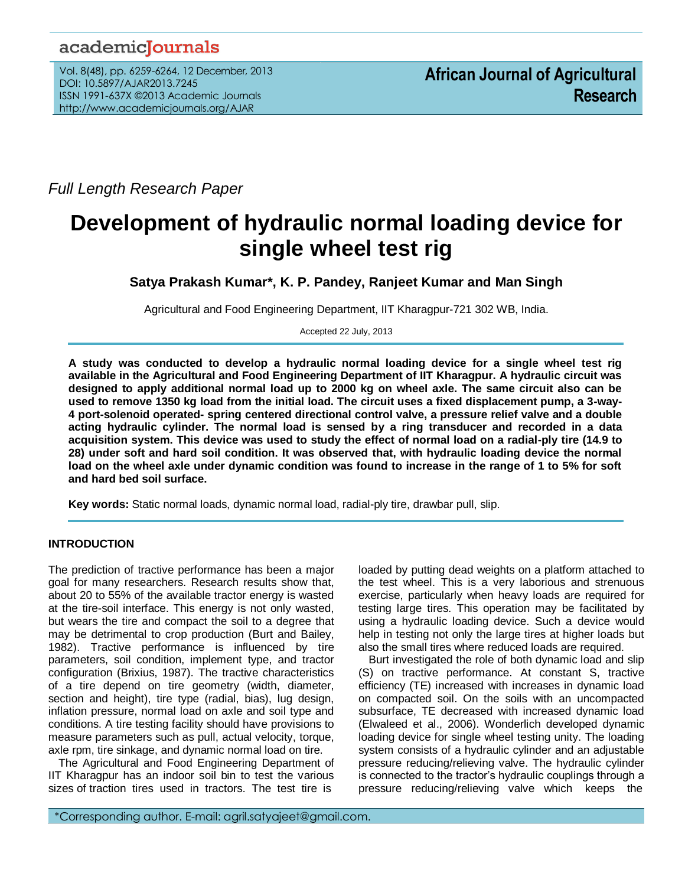# academicJournals

Vol. 8(48), pp. 6259-6264, 12 December, 2013 DOI: 10.5897/AJAR2013.7245 ISSN 1991-637X ©2013 Academic Journals http://www.academicjournals.org/AJAR

*Full Length Research Paper*

# **Development of hydraulic normal loading device for single wheel test rig**

**Satya Prakash Kumar\*, K. P. Pandey, Ranjeet Kumar and Man Singh**

Agricultural and Food Engineering Department, IIT Kharagpur-721 302 WB, India.

Accepted 22 July, 2013

**A study was conducted to develop a hydraulic normal loading device for a single wheel test rig available in the Agricultural and Food Engineering Department of IIT Kharagpur. A hydraulic circuit was designed to apply additional normal load up to 2000 kg on wheel axle. The same circuit also can be used to remove 1350 kg load from the initial load. The circuit uses a fixed displacement pump, a 3-way-4 port-solenoid operated- spring centered directional control valve, a pressure relief valve and a double acting hydraulic cylinder. The normal load is sensed by a ring transducer and recorded in a data acquisition system. This device was used to study the effect of normal load on a radial-ply tire (14.9 to 28) under soft and hard soil condition. It was observed that, with hydraulic loading device the normal load on the wheel axle under dynamic condition was found to increase in the range of 1 to 5% for soft and hard bed soil surface.** 

**Key words:** Static normal loads, dynamic normal load, radial-ply tire, drawbar pull, slip.

# **INTRODUCTION**

The prediction of tractive performance has been a major goal for many researchers. Research results show that, about 20 to 55% of the available tractor energy is wasted at the tire-soil interface. This energy is not only wasted, but wears the tire and compact the soil to a degree that may be detrimental to crop production (Burt and Bailey, 1982). Tractive performance is influenced by tire parameters, soil condition, implement type, and tractor configuration (Brixius, 1987). The tractive characteristics of a tire depend on tire geometry (width, diameter, section and height), tire type (radial, bias), lug design, inflation pressure, normal load on axle and soil type and conditions. A tire testing facility should have provisions to measure parameters such as pull, actual velocity, torque, axle rpm, tire sinkage, and dynamic normal load on tire.

The Agricultural and Food Engineering Department of IIT Kharagpur has an indoor soil bin to test the various sizes of traction tires used in tractors. The test tire is

loaded by putting dead weights on a platform attached to the test wheel. This is a very laborious and strenuous exercise, particularly when heavy loads are required for testing large tires. This operation may be facilitated by using a hydraulic loading device. Such a device would help in testing not only the large tires at higher loads but also the small tires where reduced loads are required.

Burt investigated the role of both dynamic load and slip (S) on tractive performance. At constant S, tractive efficiency (TE) increased with increases in dynamic load on compacted soil. On the soils with an uncompacted subsurface, TE decreased with increased dynamic load (Elwaleed et al., 2006). Wonderlich developed dynamic loading device for single wheel testing unity. The loading system consists of a hydraulic cylinder and an adjustable pressure reducing/relieving valve. The hydraulic cylinder is connected to the tractor's hydraulic couplings through a pressure reducing/relieving valve which keeps the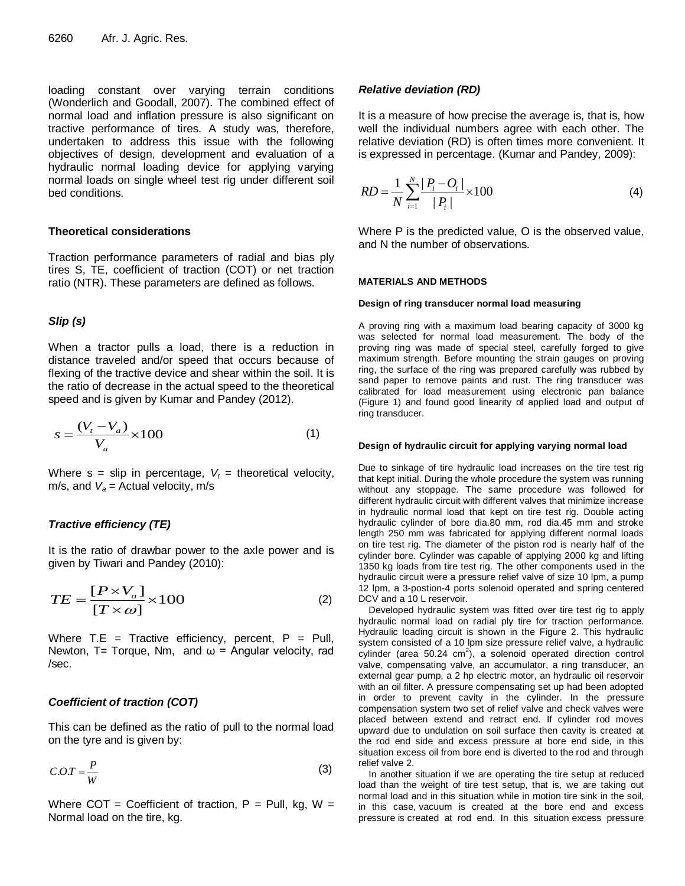loading constant over varying terrain conditions (Wonderlich and Goodall, 2007). The combined effect of normal load and inflation pressure is also significant on tractive performance of tires. A study was, therefore, undertaken to address this issue with the following objectives of design, development and evaluation of a hydraulic normal loading device for applying varying normal loads on single wheel test rig under different soil bed conditions.

# **Theoretical considerations**

Traction performance parameters of radial and bias ply tires S, TE, coefficient of traction (COT) or net traction ratio (NTR). These parameters are defined as follows.

# *Slip (s)*

When a tractor pulls a load, there is a reduction in distance traveled and/or speed that occurs because of flexing of the tractive device and shear within the soil. It is the ratio of decrease in the actual speed to the theoretical speed and is given by Kumar and Pandey (2012).

$$
s = \frac{(V_t - V_a)}{V_a} \times 100\tag{1}
$$

Where  $s = slip$  in percentage,  $V_t =$  theoretical velocity, m/s, and  $V_a$  = Actual velocity, m/s

# *Tractive efficiency (TE)*

It is the ratio of drawbar power to the axle power and is given by Tiwari and Pandey (2010):

$$
TE = \frac{[P \times V_a]}{[T \times \omega]} \times 100
$$
 (2)

Where  $T.E = Tractive efficiency$ , percent,  $P = Pull$ , Newton, T= Torque, Nm, and  $\omega$  = Angular velocity, rad /sec.

# *Coefficient of traction (COT)*

This can be defined as the ratio of pull to the normal load on the tyre and is given by:

$$
C.O.T = \frac{P}{W}
$$
 (3)

Where COT = Coefficient of traction,  $P =$  Pull, kg, W = Normal load on the tire, kg.

## *Relative deviation (RD)*

It is a measure of how precise the average is, that is, how well the individual numbers agree with each other. The relative deviation (RD) is often times more convenient. It is expressed in percentage. (Kumar and Pandey, 2009):

$$
RD = \frac{1}{N} \sum_{i=1}^{N} \frac{|P_i - O_i|}{|P_i|} \times 100
$$
 (4)

Where P is the predicted value, O is the observed value, and N the number of observations.

#### **MATERIALS AND METHODS**

#### **Design of ring transducer normal load measuring**

A proving ring with a maximum load bearing capacity of 3000 kg was selected for normal load measurement. The body of the proving ring was made of special steel, carefully forged to give maximum strength. Before mounting the strain gauges on proving ring, the surface of the ring was prepared carefully was rubbed by sand paper to remove paints and rust. The ring transducer was calibrated for load measurement using electronic pan balance (Figure 1) and found good linearity of applied load and output of ring transducer.

#### **Design of hydraulic circuit for applying varying normal load**

Due to sinkage of tire hydraulic load increases on the tire test rig that kept initial. During the whole procedure the system was running without any stoppage. The same procedure was followed for different hydraulic circuit with different valves that minimize increase in hydraulic normal load that kept on tire test rig. Double acting hydraulic cylinder of bore dia.80 mm, rod dia.45 mm and stroke length 250 mm was fabricated for applying different normal loads on tire test rig. The diameter of the piston rod is nearly half of the cylinder bore. Cylinder was capable of applying 2000 kg and lifting 1350 kg loads from tire test rig. The other components used in the hydraulic circuit were a pressure relief valve of size 10 lpm, a pump 12 lpm, a 3-postion-4 ports solenoid operated and spring centered DCV and a 10 L reservoir.

Developed hydraulic system was fitted over tire test rig to apply hydraulic normal load on radial ply tire for traction performance. Hydraulic loading circuit is shown in the Figure 2. This hydraulic system consisted of a 10 lpm size pressure relief valve, a hydraulic cylinder (area 50.24  $\text{cm}^2$ ), a solenoid operated direction control valve, compensating valve, an accumulator, a ring transducer, an external gear pump, a 2 hp electric motor, an hydraulic oil reservoir with an oil filter. A pressure compensating set up had been adopted in order to prevent cavity in the cylinder. In the pressure compensation system two set of relief valve and check valves were placed between extend and retract end. If cylinder rod moves upward due to undulation on soil surface then cavity is created at the rod end side and excess pressure at bore end side, in this situation excess oil from bore end is diverted to the rod and through relief valve 2.

In another situation if we are operating the tire setup at reduced load than the weight of tire test setup, that is, we are taking out normal load and in this situation while in motion tire sink in the soil, in this case, vacuum is created at the bore end and excess pressure is created at rod end. In this situation excess pressure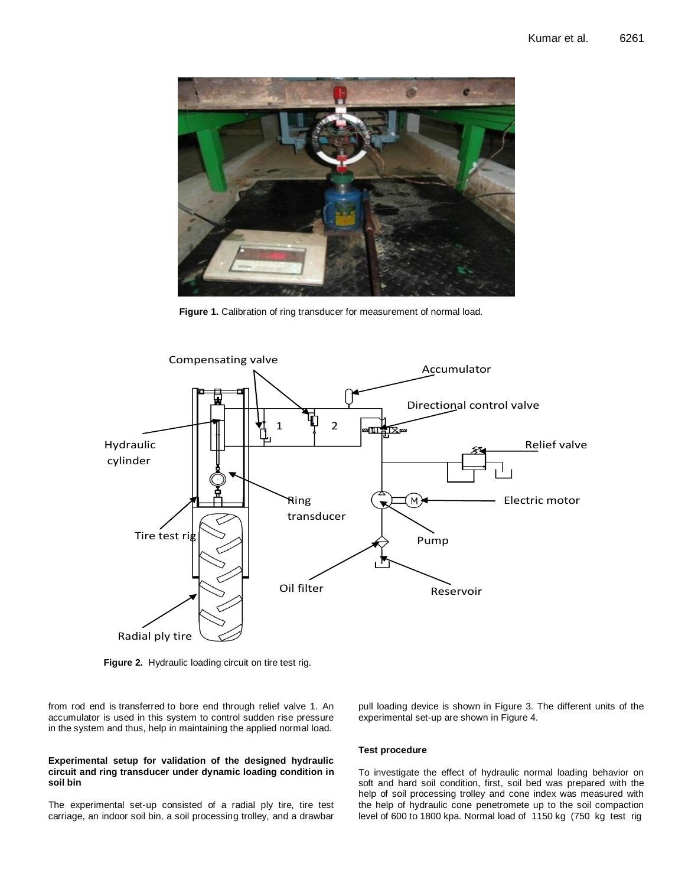

**Figure 1.** Calibration of ring transducer for measurement of normal load.



**Figure 2.** Hydraulic loading circuit on tire test rig.

from rod end is transferred to bore end through relief valve 1. An accumulator is used in this system to control sudden rise pressure in the system and thus, help in maintaining the applied normal load.

#### **Experimental setup for validation of the designed hydraulic circuit and ring transducer under dynamic loading condition in soil bin**

The experimental set-up consisted of a radial ply tire, tire test carriage, an indoor soil bin, a soil processing trolley, and a drawbar pull loading device is shown in Figure 3. The different units of the experimental set-up are shown in Figure 4.

#### **Test procedure**

To investigate the effect of hydraulic normal loading behavior on soft and hard soil condition, first, soil bed was prepared with the help of soil processing trolley and cone index was measured with the help of hydraulic cone penetromete up to the soil compaction level of 600 to 1800 kpa. Normal load of 1150 kg (750 kg test rig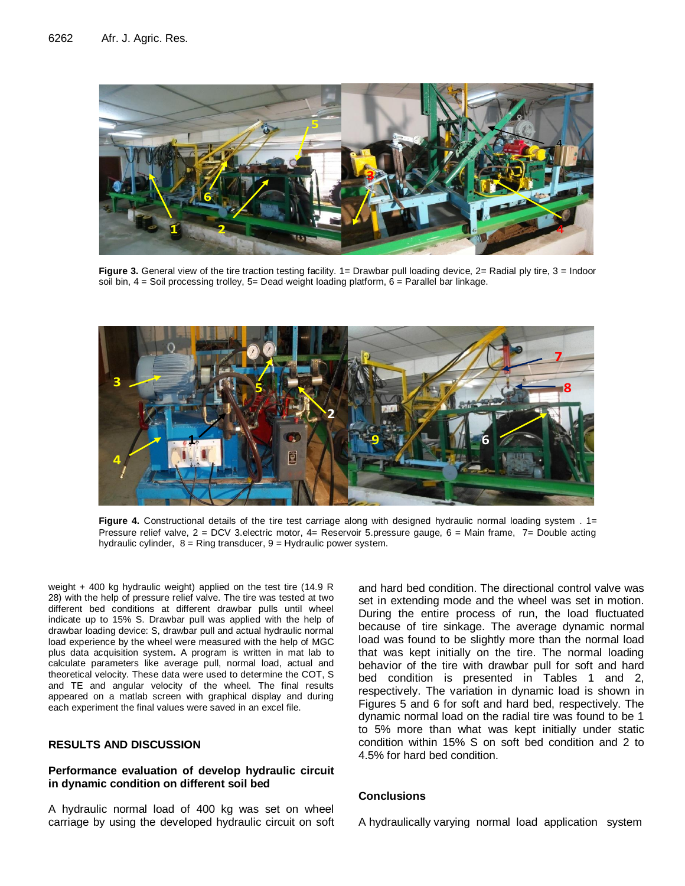

Figure 3. General view of the tire traction testing facility. 1= Drawbar pull loading device, 2= Radial ply tire, 3 = Indoor soil bin, 4 = Soil processing trolley, 5= Dead weight loading platform, 6 = Parallel bar linkage.



**Figure 4.** Constructional details of the tire test carriage along with designed hydraulic normal loading system . 1= Pressure relief valve, 2 = DCV 3.electric motor, 4= Reservoir 5.pressure gauge, 6 = Main frame, 7= Double acting hydraulic cylinder,  $8 =$  Ring transducer,  $9 =$  Hydraulic power system.

weight + 400 kg hydraulic weight) applied on the test tire (14.9 R 28) with the help of pressure relief valve. The tire was tested at two different bed conditions at different drawbar pulls until wheel indicate up to 15% S. Drawbar pull was applied with the help of drawbar loading device: S, drawbar pull and actual hydraulic normal load experience by the wheel were measured with the help of MGC plus data acquisition system**.** A program is written in mat lab to calculate parameters like average pull, normal load, actual and theoretical velocity. These data were used to determine the COT, S and TE and angular velocity of the wheel. The final results appeared on a matlab screen with graphical display and during each experiment the final values were saved in an excel file.

# **RESULTS AND DISCUSSION**

# **Performance evaluation of develop hydraulic circuit in dynamic condition on different soil bed**

A hydraulic normal load of 400 kg was set on wheel carriage by using the developed hydraulic circuit on soft and hard bed condition. The directional control valve was set in extending mode and the wheel was set in motion. During the entire process of run, the load fluctuated because of tire sinkage. The average dynamic normal load was found to be slightly more than the normal load that was kept initially on the tire. The normal loading behavior of the tire with drawbar pull for soft and hard bed condition is presented in Tables 1 and 2, respectively. The variation in dynamic load is shown in Figures 5 and 6 for soft and hard bed, respectively. The dynamic normal load on the radial tire was found to be 1 to 5% more than what was kept initially under static condition within 15% S on soft bed condition and 2 to 4.5% for hard bed condition.

# **Conclusions**

A hydraulically varying normal load application system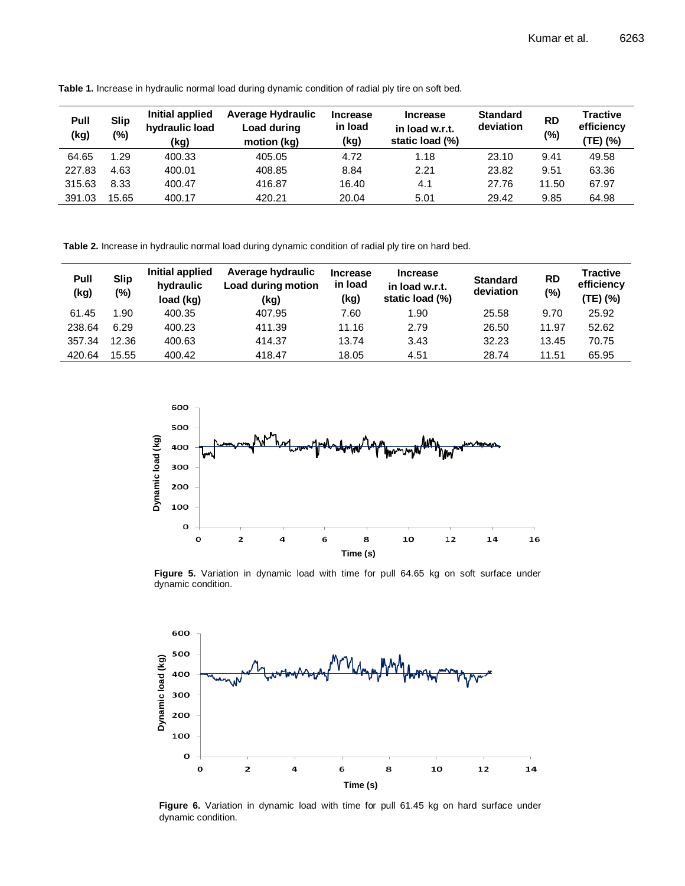| Pull<br>(kg) | <b>Slip</b><br>(%) | Initial applied<br>hydraulic load<br>(kg) | <b>Average Hydraulic</b><br>Load during<br>motion (kg) | <b>Increase</b><br>in load<br>(kg) | <b>Increase</b><br>in load w.r.t.<br>static load (%) | <b>Standard</b><br>deviation | <b>RD</b><br>(%) | <b>Tractive</b><br>efficiency<br>(TE) (%) |
|--------------|--------------------|-------------------------------------------|--------------------------------------------------------|------------------------------------|------------------------------------------------------|------------------------------|------------------|-------------------------------------------|
| 64.65        | 1.29               | 400.33                                    | 405.05                                                 | 4.72                               | 1.18                                                 | 23.10                        | 9.41             | 49.58                                     |
| 227.83       | 4.63               | 400.01                                    | 408.85                                                 | 8.84                               | 2.21                                                 | 23.82                        | 9.51             | 63.36                                     |
| 315.63       | 8.33               | 400.47                                    | 416.87                                                 | 16.40                              | 4.1                                                  | 27.76                        | 11.50            | 67.97                                     |
| 391.03       | 15.65              | 400.17                                    | 420.21                                                 | 20.04                              | 5.01                                                 | 29.42                        | 9.85             | 64.98                                     |

**Table 1.** Increase in hydraulic normal load during dynamic condition of radial ply tire on soft bed.

**Table 2.** Increase in hydraulic normal load during dynamic condition of radial ply tire on hard bed.

| Pull<br>(kg) | <b>Slip</b><br>(%) | Initial applied<br>hydraulic<br>load (kg) | Average hydraulic<br>Load during motion<br>(kg) | <b>Increase</b><br>in load<br>(kg) | <b>Increase</b><br>in load w.r.t.<br>static load (%) | <b>Standard</b><br>deviation | <b>RD</b><br>(%) | <b>Tractive</b><br>efficiency<br>(TE) (%) |
|--------------|--------------------|-------------------------------------------|-------------------------------------------------|------------------------------------|------------------------------------------------------|------------------------------|------------------|-------------------------------------------|
| 61.45        | 1.90               | 400.35                                    | 407.95                                          | 7.60                               | 1.90                                                 | 25.58                        | 9.70             | 25.92                                     |
| 238.64       | 6.29               | 400.23                                    | 411.39                                          | 11.16                              | 2.79                                                 | 26.50                        | 11.97            | 52.62                                     |
| 357.34       | 12.36              | 400.63                                    | 414.37                                          | 13.74                              | 3.43                                                 | 32.23                        | 13.45            | 70.75                                     |
| 420.64       | 15.55              | 400.42                                    | 418.47                                          | 18.05                              | 4.51                                                 | 28.74                        | 11.51            | 65.95                                     |



**Figure 5.** Variation in dynamic load with time for pull 64.65 kg on soft surface under dynamic condition.



Figure 6. Variation in dynamic load with time for pull 61.45 kg on hard surface under dynamic condition.